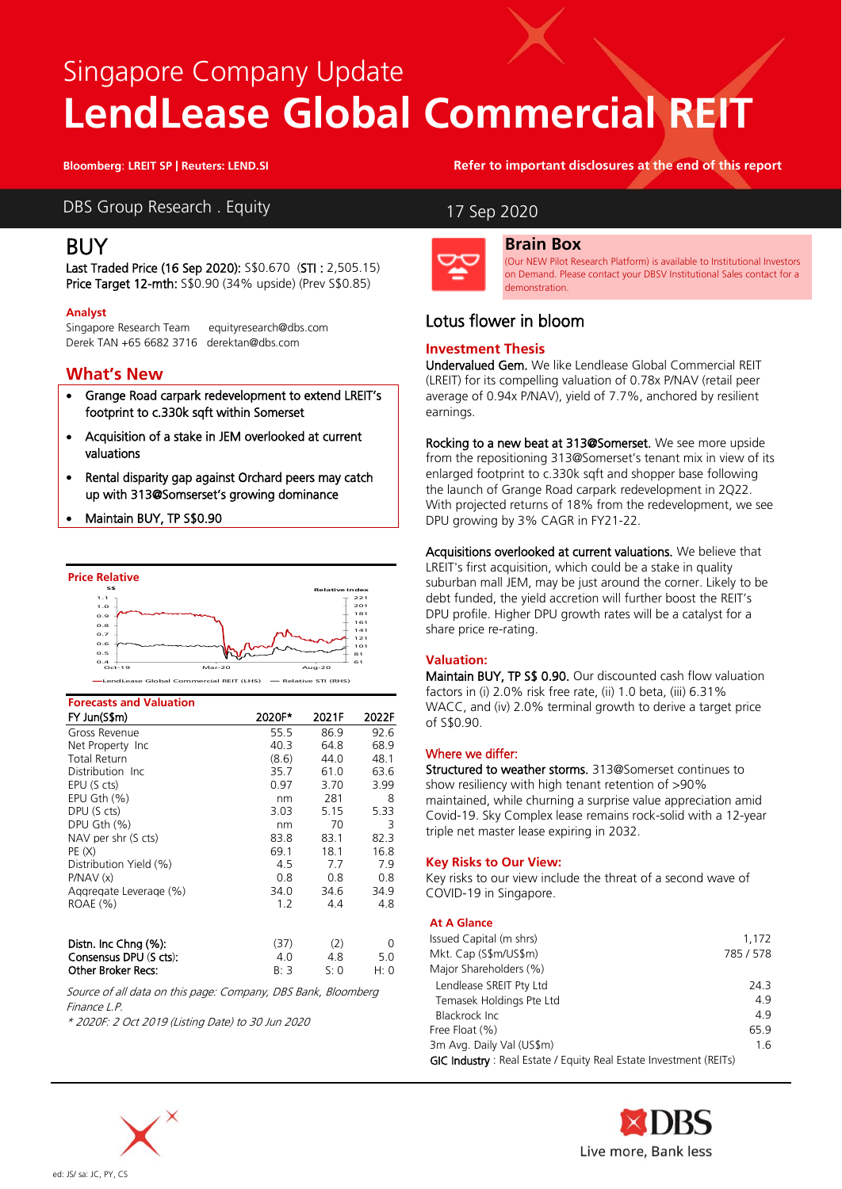# Singapore Company Update **LendLease Global Commercial REIT**

### DBS Group Research . Equity 17 Sep 2020

### BUY

Last Traded Price (16 Sep 2020): S\$0.670 (STI : 2,505.15) Price Target 12-mth: S\$0.90 (34% upside) (Prev S\$0.85)

### **Analyst**

Singapore Research Team equityresearch@dbs.com Derek TAN +65 6682 3716 derektan@dbs.com

### **What's New**

- Grange Road carpark redevelopment to extend LREIT's footprint to c.330k sqft within Somerset
- Acquisition of a stake in JEM overlooked at current valuations
- Rental disparity gap against Orchard peers may catch up with 313@Somserset's growing dominance
- Maintain BUY, TP S\$0.90



### **Forecasts and Valuation**

| 01 C CUJ CJ UHU V UNUU CIVII                   |             |            |       |
|------------------------------------------------|-------------|------------|-------|
| FY Jun(S\$m)                                   | 2020F*      | 2021F      | 2022F |
| Gross Revenue                                  | 55.5        | 86.9       | 92.6  |
| Net Property Inc                               | 40.3        | 64.8       | 68.9  |
| <b>Total Return</b>                            | (8.6)       | 44.0       | 48.1  |
| Distribution Inc.                              | 35.7        | 61.0       | 63.6  |
| EPU (S cts)                                    | 0.97        | 3.70       | 3.99  |
| $EPU$ Gth $(\%)$                               | nm          | 281        | 8     |
| DPU (S cts)                                    | 3.03        | 5.15       | 5.33  |
| DPU Gth (%)                                    | nm          | 70         | 3     |
| NAV per shr (S cts)                            | 83.8        | 83.1       | 82.3  |
| PE(X)                                          | 69.1        | 18.1       | 16.8  |
| Distribution Yield (%)                         | 4.5         | 7.7        | 7.9   |
| P/NAV(x)                                       | 0.8         | 0.8        | 0.8   |
| Aggregate Leverage (%)                         | 34.0        | 34.6       | 34.9  |
| ROAE (%)                                       | 1.2         | 4.4        | 4.8   |
|                                                |             |            | 0     |
| Distn. Inc Chna (%):<br>Consensus DPU (S cts): | (37)<br>4.0 | (2)<br>4.8 | 5.0   |
|                                                | B: 3        | S: 0       | H: 0  |
| <b>Other Broker Recs:</b>                      |             |            |       |

Source of all data on this page: Company, DBS Bank, Bloomberg Finance | P

\* 2020F: 2 Oct 2019 (Listing Date) to 30 Jun 2020

### **Bloomberg: LREIT SP | Reuters: LEND.SI Refer to important disclosures at the end of this report**



### **Brain Box**

[\(Our NEW Pilot Research Platform\) is available to Institutional Investors](https://www.bb4ii.com/login)  on Demand. Please contact your DBSV Institutional Sales contact for a demonstration.

### Lotus flower in bloom

### **Investment Thesis**

Undervalued Gem. We like Lendlease Global Commercial REIT (LREIT) for its compelling valuation of 0.78x P/NAV (retail peer average of 0.94x P/NAV), yield of 7.7%, anchored by resilient earnings.

Rocking to a new beat at 313@Somerset. We see more upside from the repositioning 313@Somerset's tenant mix in view of its enlarged footprint to c.330k sqft and shopper base following the launch of Grange Road carpark redevelopment in 2Q22. With projected returns of 18% from the redevelopment, we see DPU growing by 3% CAGR in FY21-22.

Acquisitions overlooked at current valuations. We believe that LREIT's first acquisition, which could be a stake in quality suburban mall JEM, may be just around the corner. Likely to be debt funded, the yield accretion will further boost the REIT's DPU profile. Higher DPU growth rates will be a catalyst for a share price re-rating.

### **Valuation:**

Maintain BUY, TP S\$ 0.90. Our discounted cash flow valuation factors in (i) 2.0% risk free rate, (ii) 1.0 beta, (iii) 6.31% WACC, and (iv) 2.0% terminal growth to derive a target price of S\$0.90.

### Where we differ:

Structured to weather storms. 313@Somerset continues to show resiliency with high tenant retention of >90% maintained, while churning a surprise value appreciation amid Covid-19. Sky Complex lease remains rock-solid with a 12-year triple net master lease expiring in 2032.

### **Key Risks to Our View:**

Key risks to our view include the threat of a second wave of COVID-19 in Singapore.

### **At A Glance**

| Issued Capital (m shrs)                                                   | 1,172   |
|---------------------------------------------------------------------------|---------|
| Mkt. Cap (S\$m/US\$m)                                                     | 785/578 |
| Major Shareholders (%)                                                    |         |
| Lendlease SREIT Pty Ltd                                                   | 24.3    |
| Temasek Holdings Pte Ltd                                                  | 4.9     |
| Blackrock Inc                                                             | 4.9     |
| Free Float (%)                                                            | 65.9    |
| 3m Avg. Daily Val (US\$m)                                                 | 1.6     |
| <b>GIC Industry</b> : Real Estate / Equity Real Estate Investment (REITs) |         |



Live more, Bank less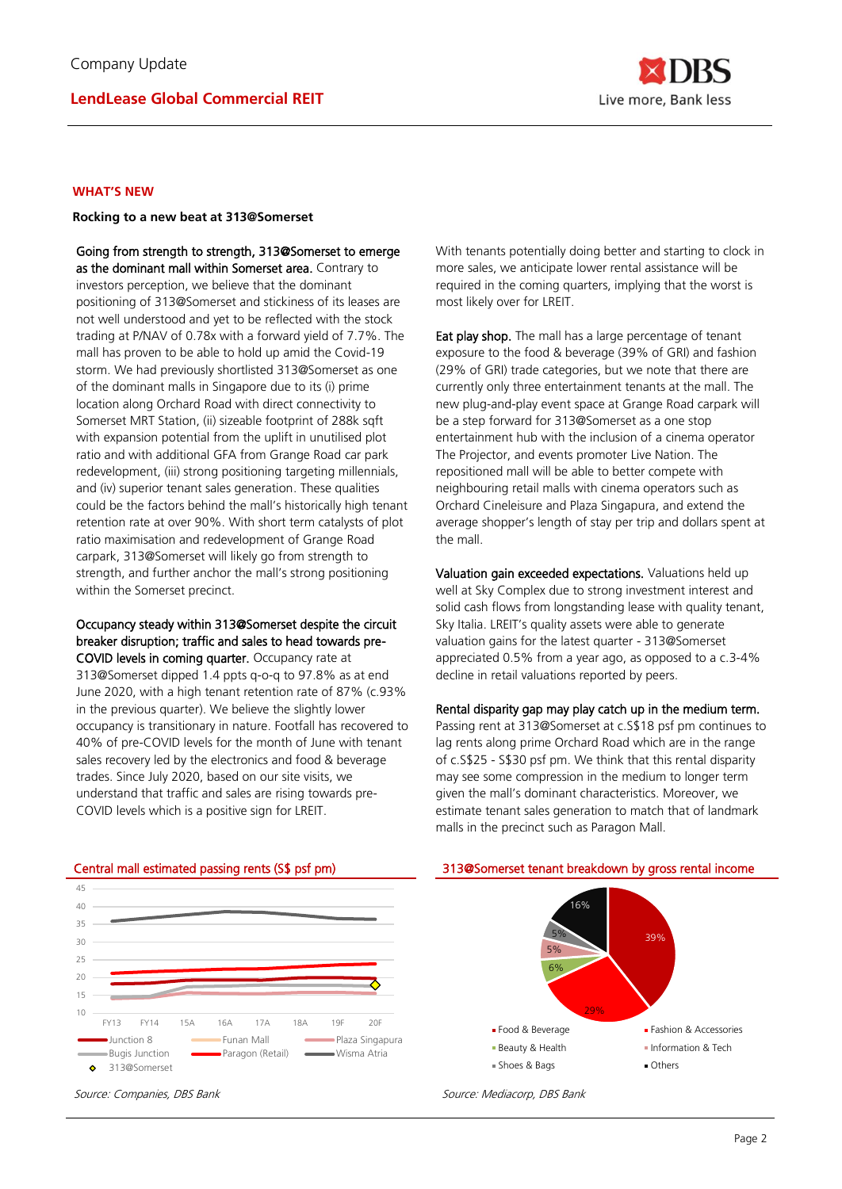

#### **WHAT'S NEW**

**Rocking to a new beat at 313@Somerset**

Going from strength to strength, 313@Somerset to emerge as the dominant mall within Somerset area. Contrary to investors perception, we believe that the dominant positioning of 313@Somerset and stickiness of its leases are not well understood and yet to be reflected with the stock trading at P/NAV of 0.78x with a forward yield of 7.7%. The mall has proven to be able to hold up amid the Covid-19 storm. We had previously shortlisted 313@Somerset as one of the dominant malls in Singapore due to its (i) prime location along Orchard Road with direct connectivity to Somerset MRT Station, (ii) sizeable footprint of 288k sqft with expansion potential from the uplift in unutilised plot ratio and with additional GFA from Grange Road car park redevelopment, (iii) strong positioning targeting millennials, and (iv) superior tenant sales generation. These qualities could be the factors behind the mall's historically high tenant retention rate at over 90%. With short term catalysts of plot ratio maximisation and redevelopment of Grange Road carpark, 313@Somerset will likely go from strength to strength, and further anchor the mall's strong positioning within the Somerset precinct.

### Occupancy steady within 313@Somerset despite the circuit breaker disruption; traffic and sales to head towards pre-COVID levels in coming quarter. Occupancy rate at

313@Somerset dipped 1.4 ppts q-o-q to 97.8% as at end June 2020, with a high tenant retention rate of 87% (c.93% in the previous quarter). We believe the slightly lower occupancy is transitionary in nature. Footfall has recovered to 40% of pre-COVID levels for the month of June with tenant sales recovery led by the electronics and food & beverage trades. Since July 2020, based on our site visits, we understand that traffic and sales are rising towards pre-COVID levels which is a positive sign for LREIT.

With tenants potentially doing better and starting to clock in more sales, we anticipate lower rental assistance will be required in the coming quarters, implying that the worst is most likely over for LREIT.

Eat play shop. The mall has a large percentage of tenant exposure to the food & beverage (39% of GRI) and fashion (29% of GRI) trade categories, but we note that there are currently only three entertainment tenants at the mall. The new plug-and-play event space at Grange Road carpark will be a step forward for 313@Somerset as a one stop entertainment hub with the inclusion of a cinema operator The Projector, and events promoter Live Nation. The repositioned mall will be able to better compete with neighbouring retail malls with cinema operators such as Orchard Cineleisure and Plaza Singapura, and extend the average shopper's length of stay per trip and dollars spent at the mall.

Valuation gain exceeded expectations. Valuations held up well at Sky Complex due to strong investment interest and solid cash flows from longstanding lease with quality tenant, Sky Italia. LREIT's quality assets were able to generate valuation gains for the latest quarter - 313@Somerset appreciated 0.5% from a year ago, as opposed to a c.3-4% decline in retail valuations reported by peers.

### Rental disparity gap may play catch up in the medium term.

Passing rent at 313@Somerset at c.S\$18 psf pm continues to lag rents along prime Orchard Road which are in the range of c.S\$25 - S\$30 psf pm. We think that this rental disparity may see some compression in the medium to longer term given the mall's dominant characteristics. Moreover, we estimate tenant sales generation to match that of landmark malls in the precinct such as Paragon Mall.



#### Central mall estimated passing rents (S\$ psf pm) 313@Somerset tenant breakdown by gross rental income

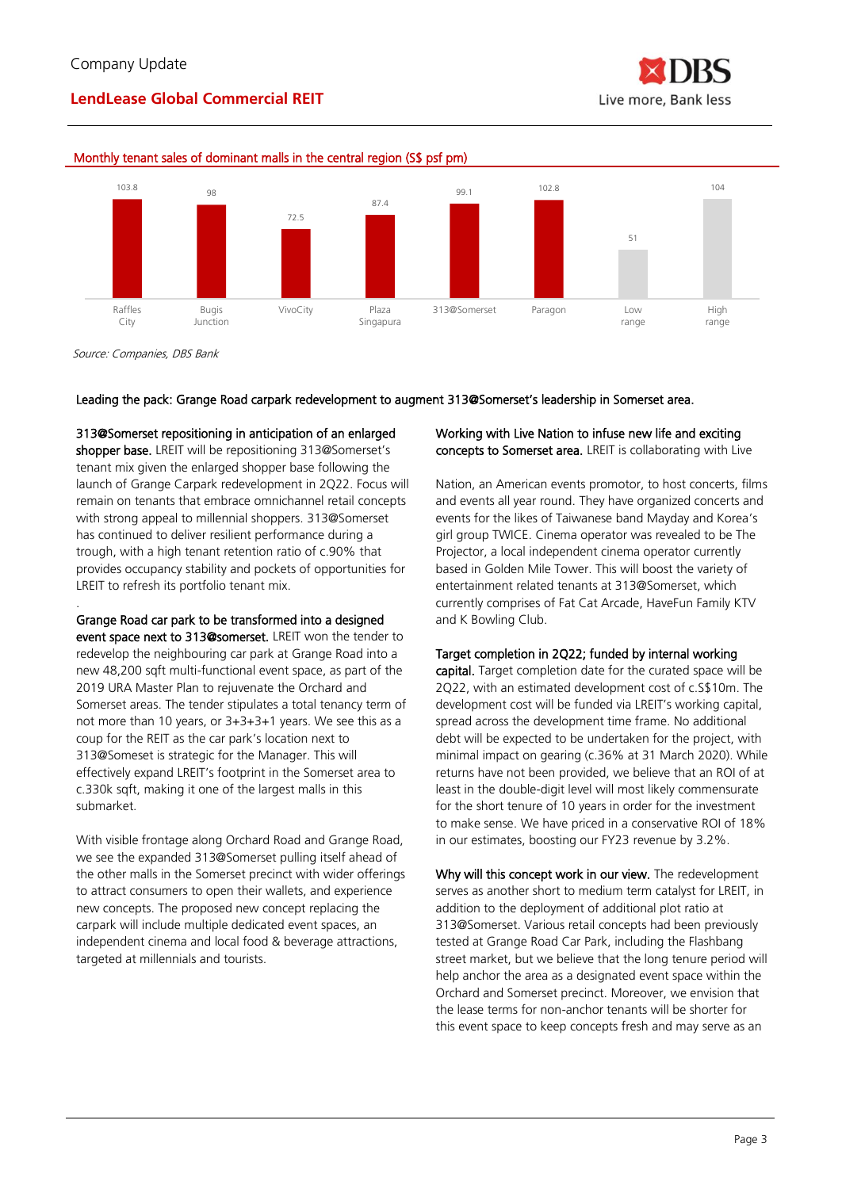

### Monthly tenant sales of dominant malls in the central region (S\$ psf pm)



Source: Companies, DBS Bank

.

#### Leading the pack: Grange Road carpark redevelopment to augment 313@Somerset's leadership in Somerset area.

### 313@Somerset repositioning in anticipation of an enlarged

shopper base. LREIT will be repositioning 313@Somerset's tenant mix given the enlarged shopper base following the launch of Grange Carpark redevelopment in 2Q22. Focus will remain on tenants that embrace omnichannel retail concepts with strong appeal to millennial shoppers. 313@Somerset has continued to deliver resilient performance during a trough, with a high tenant retention ratio of c.90% that provides occupancy stability and pockets of opportunities for LREIT to refresh its portfolio tenant mix.

### Grange Road car park to be transformed into a designed

event space next to 313@somerset. LREIT won the tender to redevelop the neighbouring car park at Grange Road into a new 48,200 sqft multi-functional event space, as part of the 2019 URA Master Plan to rejuvenate the Orchard and Somerset areas. The tender stipulates a total tenancy term of not more than 10 years, or 3+3+3+1 years. We see this as a coup for the REIT as the car park's location next to 313@Someset is strategic for the Manager. This will effectively expand LREIT's footprint in the Somerset area to c.330k sqft, making it one of the largest malls in this submarket.

With visible frontage along Orchard Road and Grange Road, we see the expanded 313@Somerset pulling itself ahead of the other malls in the Somerset precinct with wider offerings to attract consumers to open their wallets, and experience new concepts. The proposed new concept replacing the carpark will include multiple dedicated event spaces, an independent cinema and local food & beverage attractions, targeted at millennials and tourists.

### Working with Live Nation to infuse new life and exciting concepts to Somerset area. LREIT is collaborating with Live

Nation, an American events promotor, to host concerts, films and events all year round. They have organized concerts and events for the likes of Taiwanese band Mayday and Korea's girl group TWICE. Cinema operator was revealed to be The Projector, a local independent cinema operator currently based in Golden Mile Tower. This will boost the variety of entertainment related tenants at 313@Somerset, which currently comprises of Fat Cat Arcade, HaveFun Family KTV and K Bowling Club.

### Target completion in 2Q22; funded by internal working

capital. Target completion date for the curated space will be 2Q22, with an estimated development cost of c.S\$10m. The development cost will be funded via LREIT's working capital, spread across the development time frame. No additional debt will be expected to be undertaken for the project, with minimal impact on gearing (c.36% at 31 March 2020). While returns have not been provided, we believe that an ROI of at least in the double-digit level will most likely commensurate for the short tenure of 10 years in order for the investment to make sense. We have priced in a conservative ROI of 18% in our estimates, boosting our FY23 revenue by 3.2%.

Why will this concept work in our view. The redevelopment serves as another short to medium term catalyst for LREIT, in addition to the deployment of additional plot ratio at 313@Somerset. Various retail concepts had been previously tested at Grange Road Car Park, including the Flashbang street market, but we believe that the long tenure period will help anchor the area as a designated event space within the Orchard and Somerset precinct. Moreover, we envision that the lease terms for non-anchor tenants will be shorter for this event space to keep concepts fresh and may serve as an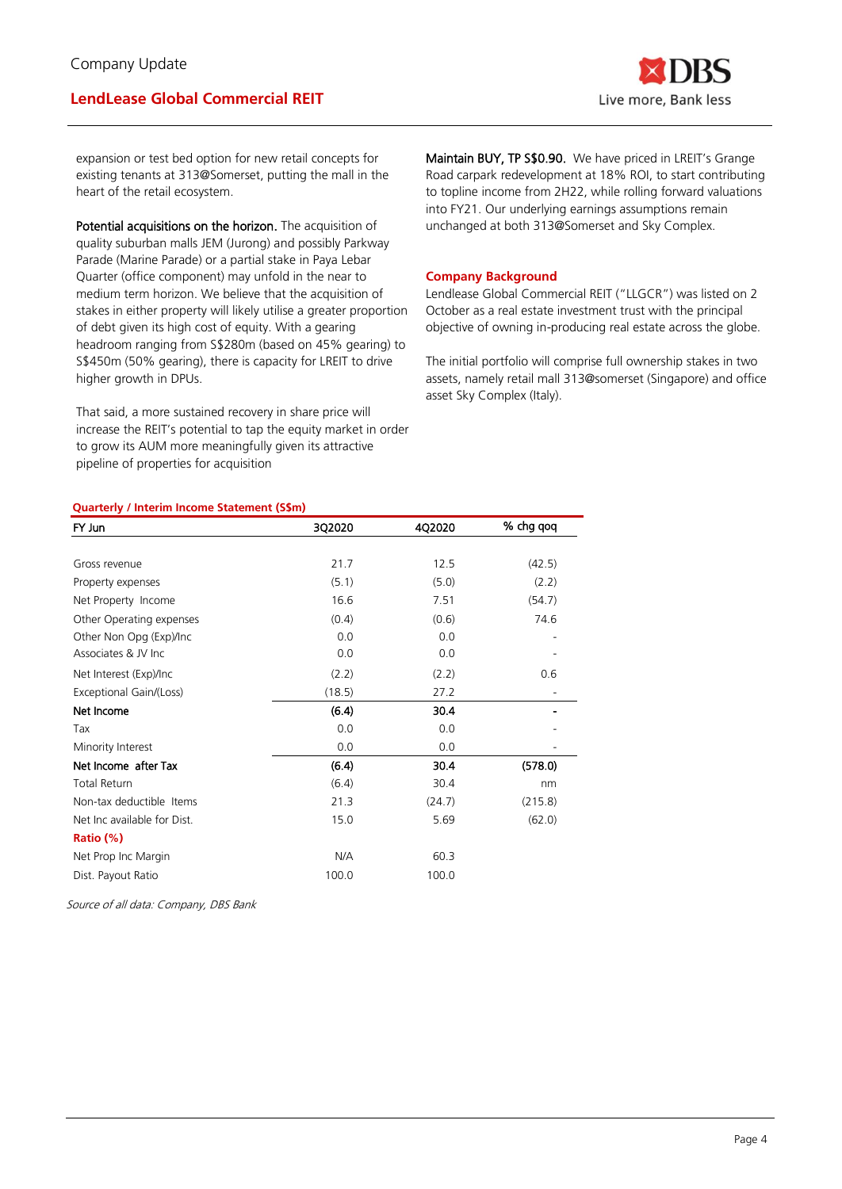expansion or test bed option for new retail concepts for existing tenants at 313@Somerset, putting the mall in the heart of the retail ecosystem.

Potential acquisitions on the horizon. The acquisition of quality suburban malls JEM (Jurong) and possibly Parkway Parade (Marine Parade) or a partial stake in Paya Lebar Quarter (office component) may unfold in the near to medium term horizon. We believe that the acquisition of stakes in either property will likely utilise a greater proportion of debt given its high cost of equity. With a gearing headroom ranging from S\$280m (based on 45% gearing) to S\$450m (50% gearing), there is capacity for LREIT to drive higher growth in DPUs.

That said, a more sustained recovery in share price will increase the REIT's potential to tap the equity market in order to grow its AUM more meaningfully given its attractive pipeline of properties for acquisition

Maintain BUY, TP S\$0.90. We have priced in LREIT's Grange Road carpark redevelopment at 18% ROI, to start contributing to topline income from 2H22, while rolling forward valuations into FY21. Our underlying earnings assumptions remain unchanged at both 313@Somerset and Sky Complex.

### **Company Background**

Lendlease Global Commercial REIT ("LLGCR") was listed on 2 October as a real estate investment trust with the principal objective of owning in-producing real estate across the globe.

The initial portfolio will comprise full ownership stakes in two assets, namely retail mall 313@somerset (Singapore) and office asset Sky Complex (Italy).

#### **Quarterly / Interim Income Statement (S\$m)**

| FY Jun                      | 3Q2020 | 4Q2020 | % chg qoq |
|-----------------------------|--------|--------|-----------|
|                             |        |        |           |
| Gross revenue               | 21.7   | 12.5   | (42.5)    |
| Property expenses           | (5.1)  | (5.0)  | (2.2)     |
| Net Property Income         | 16.6   | 7.51   | (54.7)    |
| Other Operating expenses    | (0.4)  | (0.6)  | 74.6      |
| Other Non Opg (Exp)/Inc     | 0.0    | 0.0    |           |
| Associates & JV Inc.        | 0.0    | 0.0    |           |
| Net Interest (Exp)/Inc      | (2.2)  | (2.2)  | 0.6       |
| Exceptional Gain/(Loss)     | (18.5) | 27.2   |           |
| Net Income                  | (6.4)  | 30.4   |           |
| Tax                         | 0.0    | 0.0    |           |
| Minority Interest           | 0.0    | 0.0    |           |
| Net Income after Tax        | (6.4)  | 30.4   | (578.0)   |
| <b>Total Return</b>         | (6.4)  | 30.4   | nm        |
| Non-tax deductible Items    | 21.3   | (24.7) | (215.8)   |
| Net Inc available for Dist. | 15.0   | 5.69   | (62.0)    |
| Ratio (%)                   |        |        |           |
| Net Prop Inc Margin         | N/A    | 60.3   |           |
| Dist. Payout Ratio          | 100.0  | 100.0  |           |

Source of all data: Company, DBS Bank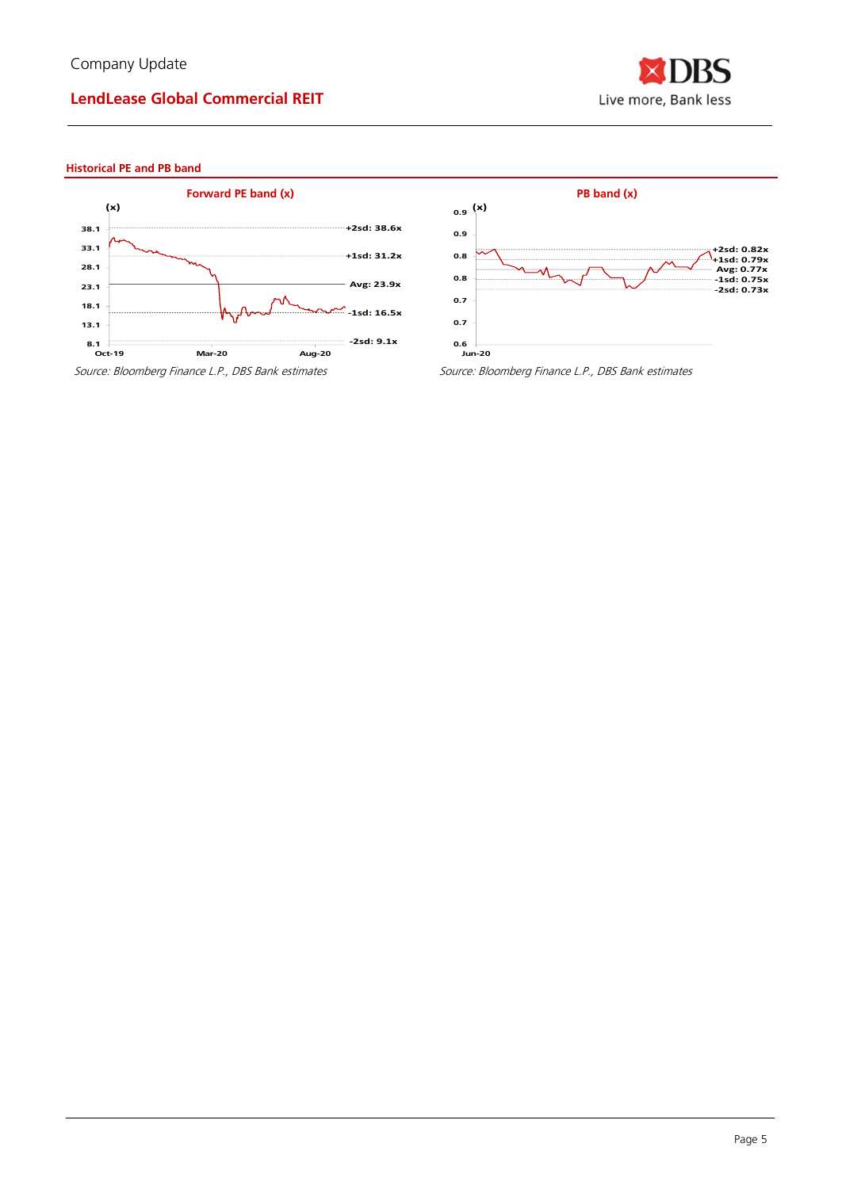

### **Historical PE and PB band**



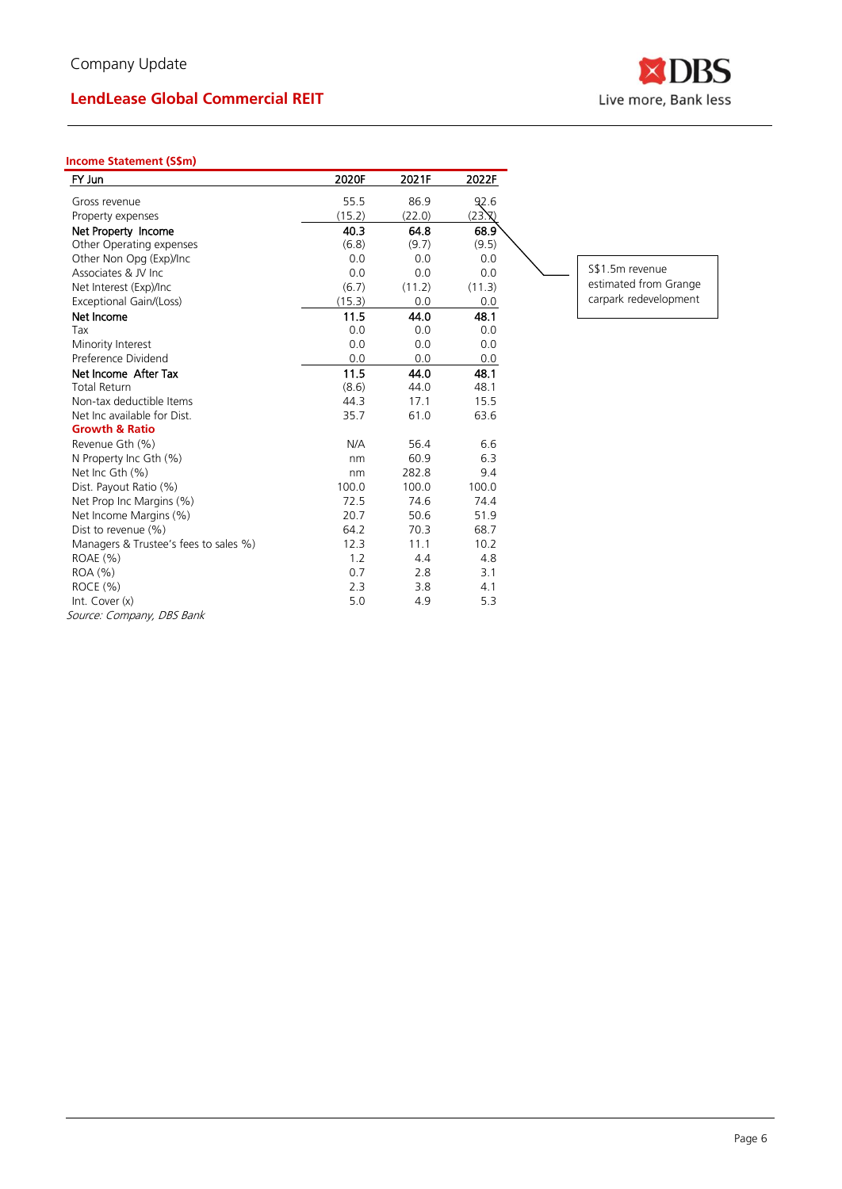

### **Income Statement (S\$m)**

| FY Jun                                | 2020F  | 2021F  | 2022F            |                       |
|---------------------------------------|--------|--------|------------------|-----------------------|
| Gross revenue                         | 55.5   | 86.9   | 92.6             |                       |
| Property expenses                     | (15.2) | (22.0) | $(23)$ $\bar{X}$ |                       |
| Net Property Income                   | 40.3   | 64.8   | 68.9             |                       |
| Other Operating expenses              | (6.8)  | (9.7)  | (9.5)            |                       |
| Other Non Opg (Exp)/Inc               | 0.0    | 0.0    | 0.0              |                       |
| Associates & JV Inc.                  | 0.0    | 0.0    | 0.0              | S\$1.5m revenue       |
| Net Interest (Exp)/Inc                | (6.7)  | (11.2) | (11.3)           | estimated from Grange |
| Exceptional Gain/(Loss)               | (15.3) | 0.0    | 0.0              | carpark redevelopment |
| Net Income                            | 11.5   | 44.0   | 48.1             |                       |
| Tax                                   | 0.0    | 0.0    | 0.0              |                       |
| Minority Interest                     | 0.0    | 0.0    | 0.0              |                       |
| Preference Dividend                   | 0.0    | 0.0    | 0.0              |                       |
| Net Income After Tax                  | 11.5   | 44.0   | 48.1             |                       |
| <b>Total Return</b>                   | (8.6)  | 44.0   | 48.1             |                       |
| Non-tax deductible Items              | 44.3   | 17.1   | 15.5             |                       |
| Net Inc available for Dist.           | 35.7   | 61.0   | 63.6             |                       |
| <b>Growth &amp; Ratio</b>             |        |        |                  |                       |
| Revenue Gth (%)                       | N/A    | 56.4   | 6.6              |                       |
| N Property Inc Gth (%)                | nm     | 60.9   | 6.3              |                       |
| Net Inc Gth (%)                       | nm     | 282.8  | 9.4              |                       |
| Dist. Payout Ratio (%)                | 100.0  | 100.0  | 100.0            |                       |
| Net Prop Inc Margins (%)              | 72.5   | 74.6   | 74.4             |                       |
| Net Income Margins (%)                | 20.7   | 50.6   | 51.9             |                       |
| Dist to revenue (%)                   | 64.2   | 70.3   | 68.7             |                       |
| Managers & Trustee's fees to sales %) | 12.3   | 11.1   | 10.2             |                       |
| ROAE (%)                              | 1.2    | 4.4    | 4.8              |                       |
| ROA (%)                               | 0.7    | 2.8    | 3.1              |                       |
| ROCE(%)                               | 2.3    | 3.8    | 4.1              |                       |
| Int. Cover (x)                        | 5.0    | 4.9    | 5.3              |                       |
| Source: Company, DBS Bank             |        |        |                  |                       |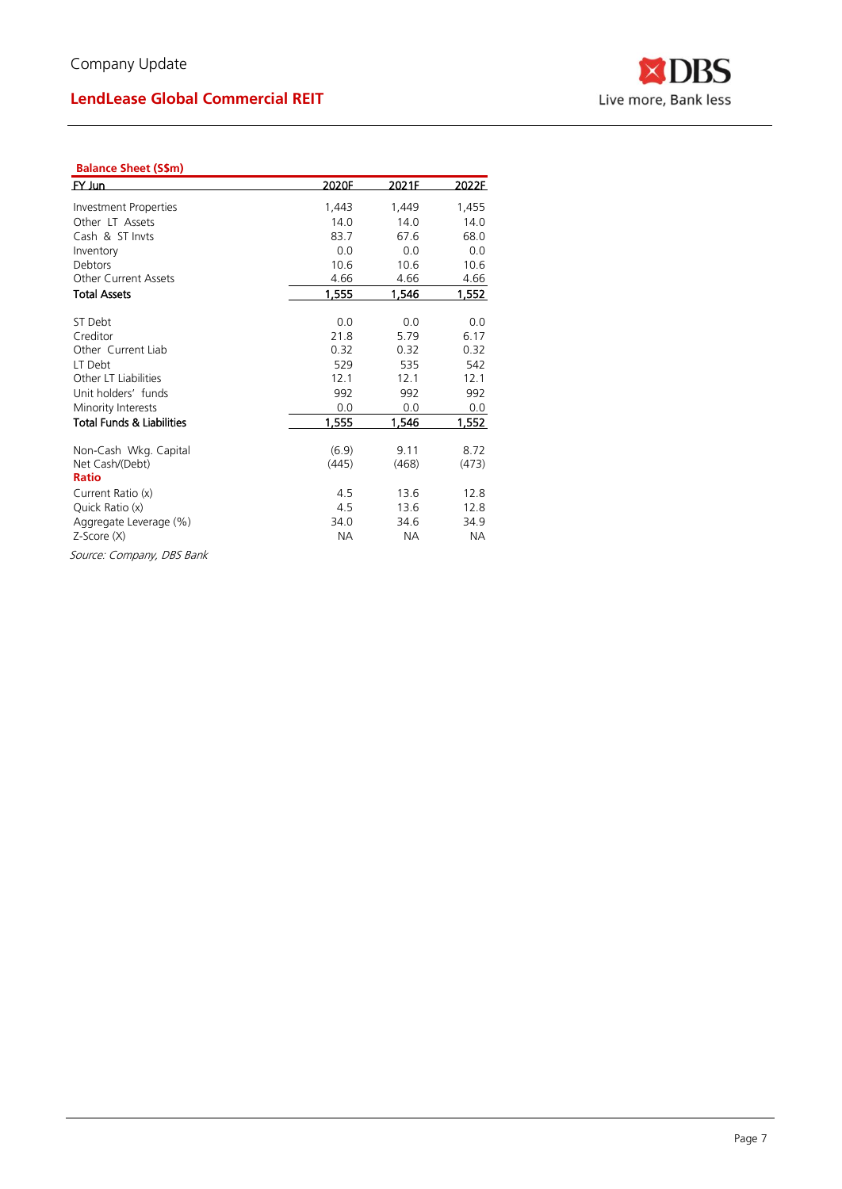

### **Balance Sheet (S\$m)**

| FY Jun                               | 2020F | 2021F     | 2022E         |
|--------------------------------------|-------|-----------|---------------|
|                                      |       |           |               |
| Investment Properties                | 1,443 | 1,449     | 1,455         |
| Other LT Assets                      | 14.0  | 14.0      | 14.0          |
| Cash & ST Invts                      | 83.7  | 67.6      | 68.0          |
| Inventory                            | 0.0   | 0.0       | 0.0           |
| Debtors                              | 10.6  | 10.6      | 10.6          |
| <b>Other Current Assets</b>          | 4.66  | 4.66      | 4.66          |
| <b>Total Assets</b>                  | 1,555 | 1,546     | <u>1,552 </u> |
|                                      |       |           |               |
| ST Debt                              | 0.0   | 0.0       | 0.0           |
| Creditor                             | 21.8  | 5.79      | 6.17          |
| Other Current Liab                   | 0.32  | 0.32      | 0.32          |
| LT Debt                              | 529   | 535       | 542           |
| Other LT Liabilities                 | 12.1  | 12.1      | 12.1          |
| Unit holders' funds                  | 992   | 992       | 992           |
| Minority Interests                   | 0.0   | 0.0       | 0.0           |
| <b>Total Funds &amp; Liabilities</b> | 1,555 | 1,546     | 1,552         |
|                                      |       |           |               |
| Non-Cash Wkg. Capital                | (6.9) | 9.11      | 8.72          |
| Net Cash/(Debt)                      | (445) | (468)     | (473)         |
| <b>Ratio</b>                         |       |           |               |
| Current Ratio (x)                    | 4.5   | 13.6      | 12.8          |
| Quick Ratio (x)                      | 4.5   | 13.6      | 12.8          |
| Aggregate Leverage (%)               | 34.0  | 34.6      | 34.9          |
| $Z$ -Score $(X)$                     | NА    | <b>NA</b> | <b>NA</b>     |
|                                      |       |           |               |

Source: Company, DBS Bank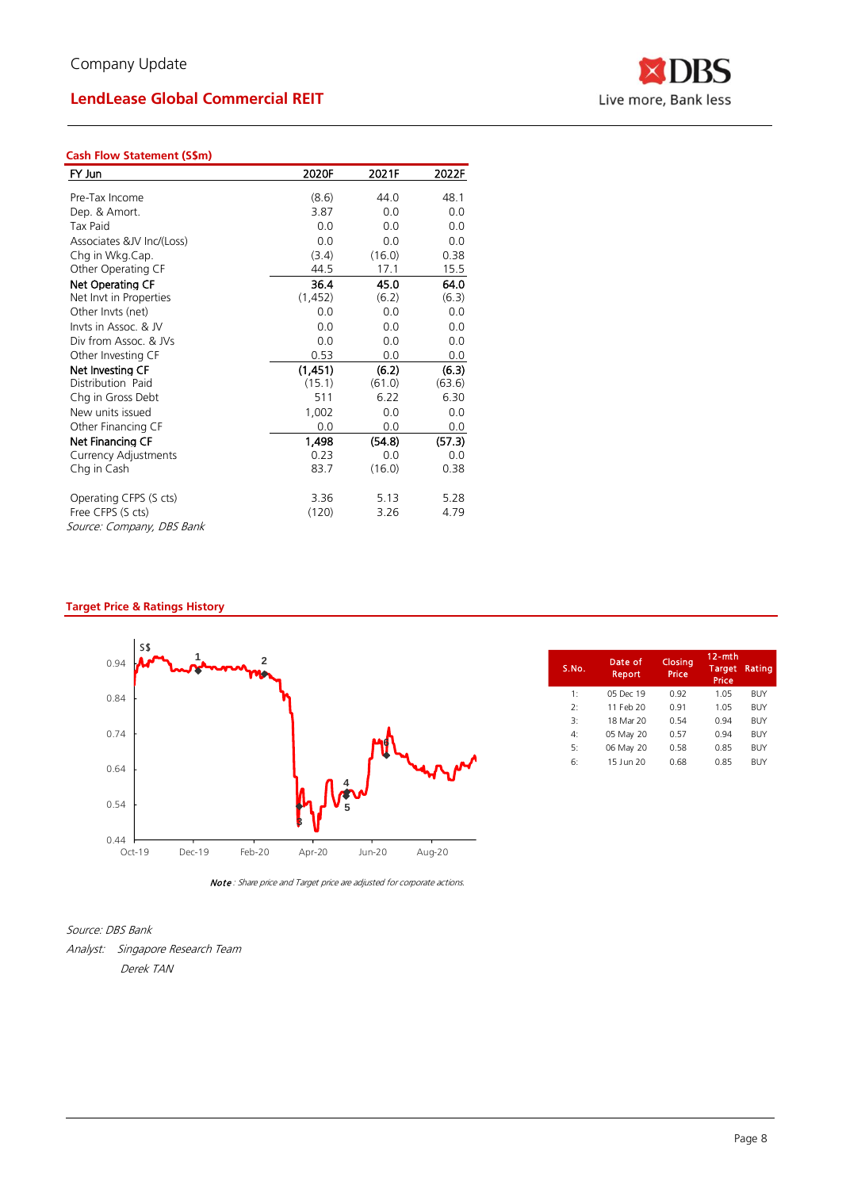

### **Cash Flow Statement (S\$m)**

| FY Jun                                         | 2020F    | 2021F  | 2022F  |
|------------------------------------------------|----------|--------|--------|
|                                                |          |        |        |
| Pre-Tax Income                                 | (8.6)    | 44.0   | 48.1   |
| Dep. & Amort.                                  | 3.87     | 0.0    | 0.0    |
| Tax Paid                                       | 0.0      | 0.0    | 0.0    |
| Associates &JV Inc/(Loss)                      | 0.0      | 0.0    | 0.0    |
| Chg in Wkg.Cap.                                | (3.4)    | (16.0) | 0.38   |
| Other Operating CF                             | 44.5     | 17.1   | 15.5   |
| Net Operating CF                               | 36.4     | 45.0   | 64.0   |
| Net Invt in Properties                         | (1, 452) | (6.2)  | (6.3)  |
| Other Invts (net)                              | 0.0      | 0.0    | 0.0    |
| Invts in Assoc. & JV                           | 0.0      | 0.0    | 0.0    |
| Div from Assoc. & JVs                          | 0.0      | 0.0    | 0.0    |
| Other Investing CF                             | 0.53     | 0.0    | 0.0    |
| Net Investing CF                               | (1,451)  | (6.2)  | (6.3)  |
| Distribution Paid                              | (15.1)   | (61.0) | (63.6) |
| Chg in Gross Debt                              | 511      | 6.22   | 6.30   |
| New units issued                               | 1,002    | 0.0    | 0.0    |
| Other Financing CF                             | 0.0      | 0.0    | 0.0    |
| Net Financing CF                               | 1,498    | (54.8) | (57.3) |
| <b>Currency Adjustments</b>                    | 0.23     | 0.0    | 0.0    |
| Chg in Cash                                    | 83.7     | (16.0) | 0.38   |
| Operating CFPS (S cts)                         | 3.36     | 5.13   | 5.28   |
| Free CFPS (S cts)<br>Source: Company, DBS Bank | (120)    | 3.26   | 4.79   |

### **Target Price & Ratings History**



| S.No.         | Date of<br>Report | Closing<br>Price | 12-mth<br>Target<br>Price | Rating     |
|---------------|-------------------|------------------|---------------------------|------------|
| 1:            | 05 Dec 19         | 0.92             | 1.05                      | BUY        |
| $\mathcal{P}$ | 11 Feb 20         | 0.91             | 1.05                      | <b>BUY</b> |
| 3:            | 18 Mar 20         | 0.54             | 0.94                      | <b>BUY</b> |
| 4:            | 05 May 20         | 0.57             | 0.94                      | <b>BUY</b> |
| 5:            | 06 May 20         | 0.58             | 0.85                      | <b>BUY</b> |
| 6:            | 15 Jun 20         | 0.68             | 0.85                      | <b>BUY</b> |
|               |                   |                  |                           |            |

Note : Share price and Target price are adjusted for corporate actions.

#### Source: DBS Bank

Analyst: Singapore Research Team Derek TAN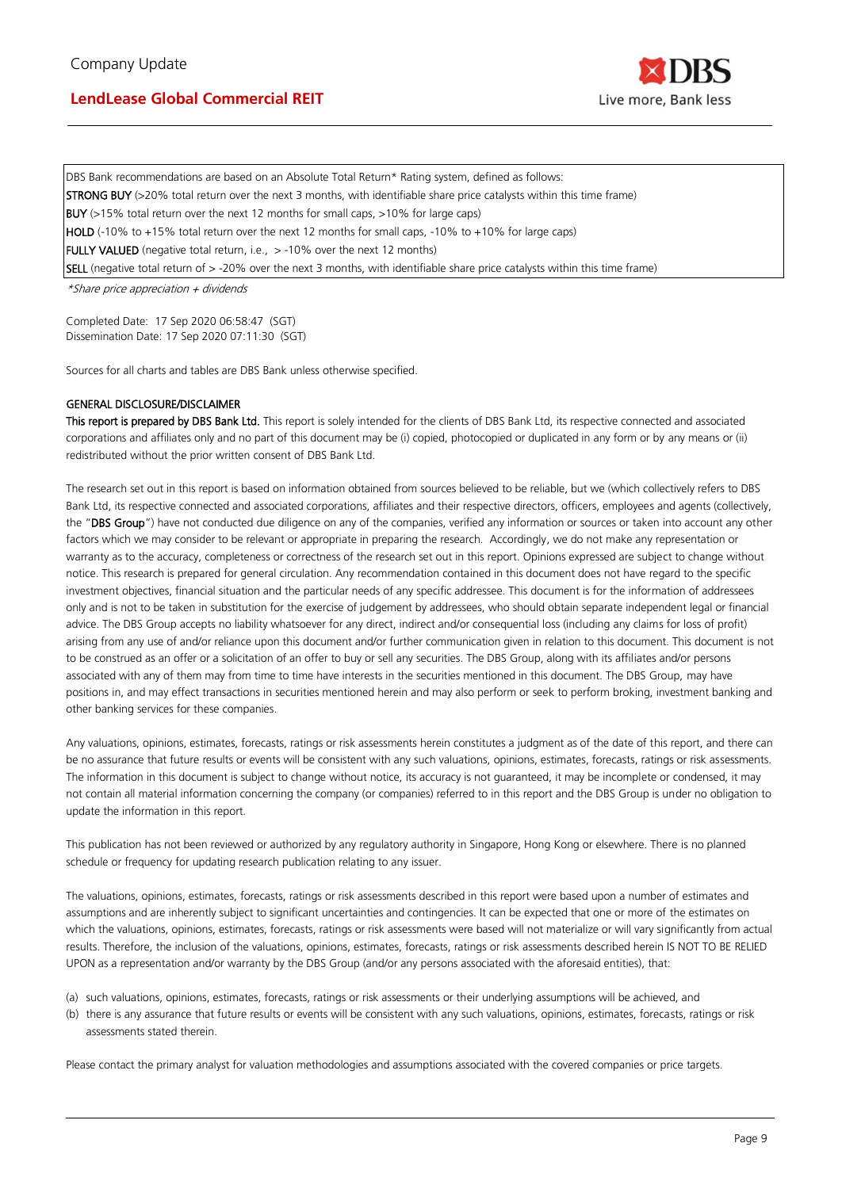

DBS Bank recommendations are based on an Absolute Total Return\* Rating system, defined as follows: **STRONG BUY** (>20% total return over the next 3 months, with identifiable share price catalysts within this time frame) BUY (>15% total return over the next 12 months for small caps, >10% for large caps) HOLD (-10% to +15% total return over the next 12 months for small caps, -10% to +10% for large caps) FULLY VALUED (negative total return, i.e., > -10% over the next 12 months) SELL (negative total return of > -20% over the next 3 months, with identifiable share price catalysts within this time frame)

\*Share price appreciation + dividends

Completed Date: 17 Sep 2020 06:58:47 (SGT) Dissemination Date: 17 Sep 2020 07:11:30 (SGT)

Sources for all charts and tables are DBS Bank unless otherwise specified.

#### GENERAL DISCLOSURE/DISCLAIMER

This report is prepared by DBS Bank Ltd. This report is solely intended for the clients of DBS Bank Ltd, its respective connected and associated corporations and affiliates only and no part of this document may be (i) copied, photocopied or duplicated in any form or by any means or (ii) redistributed without the prior written consent of DBS Bank Ltd.

The research set out in this report is based on information obtained from sources believed to be reliable, but we (which collectively refers to DBS Bank Ltd, its respective connected and associated corporations, affiliates and their respective directors, officers, employees and agents (collectively, the "DBS Group") have not conducted due diligence on any of the companies, verified any information or sources or taken into account any other factors which we may consider to be relevant or appropriate in preparing the research. Accordingly, we do not make any representation or warranty as to the accuracy, completeness or correctness of the research set out in this report. Opinions expressed are subject to change without notice. This research is prepared for general circulation. Any recommendation contained in this document does not have regard to the specific investment objectives, financial situation and the particular needs of any specific addressee. This document is for the information of addressees only and is not to be taken in substitution for the exercise of judgement by addressees, who should obtain separate independent legal or financial advice. The DBS Group accepts no liability whatsoever for any direct, indirect and/or consequential loss (including any claims for loss of profit) arising from any use of and/or reliance upon this document and/or further communication given in relation to this document. This document is not to be construed as an offer or a solicitation of an offer to buy or sell any securities. The DBS Group, along with its affiliates and/or persons associated with any of them may from time to time have interests in the securities mentioned in this document. The DBS Group, may have positions in, and may effect transactions in securities mentioned herein and may also perform or seek to perform broking, investment banking and other banking services for these companies.

Any valuations, opinions, estimates, forecasts, ratings or risk assessments herein constitutes a judgment as of the date of this report, and there can be no assurance that future results or events will be consistent with any such valuations, opinions, estimates, forecasts, ratings or risk assessments. The information in this document is subject to change without notice, its accuracy is not guaranteed, it may be incomplete or condensed, it may not contain all material information concerning the company (or companies) referred to in this report and the DBS Group is under no obligation to update the information in this report.

This publication has not been reviewed or authorized by any regulatory authority in Singapore, Hong Kong or elsewhere. There is no planned schedule or frequency for updating research publication relating to any issuer.

The valuations, opinions, estimates, forecasts, ratings or risk assessments described in this report were based upon a number of estimates and assumptions and are inherently subject to significant uncertainties and contingencies. It can be expected that one or more of the estimates on which the valuations, opinions, estimates, forecasts, ratings or risk assessments were based will not materialize or will vary significantly from actual results. Therefore, the inclusion of the valuations, opinions, estimates, forecasts, ratings or risk assessments described herein IS NOT TO BE RELIED UPON as a representation and/or warranty by the DBS Group (and/or any persons associated with the aforesaid entities), that:

- (a) such valuations, opinions, estimates, forecasts, ratings or risk assessments or their underlying assumptions will be achieved, and
- (b) there is any assurance that future results or events will be consistent with any such valuations, opinions, estimates, forecasts, ratings or risk assessments stated therein.

Please contact the primary analyst for valuation methodologies and assumptions associated with the covered companies or price targets.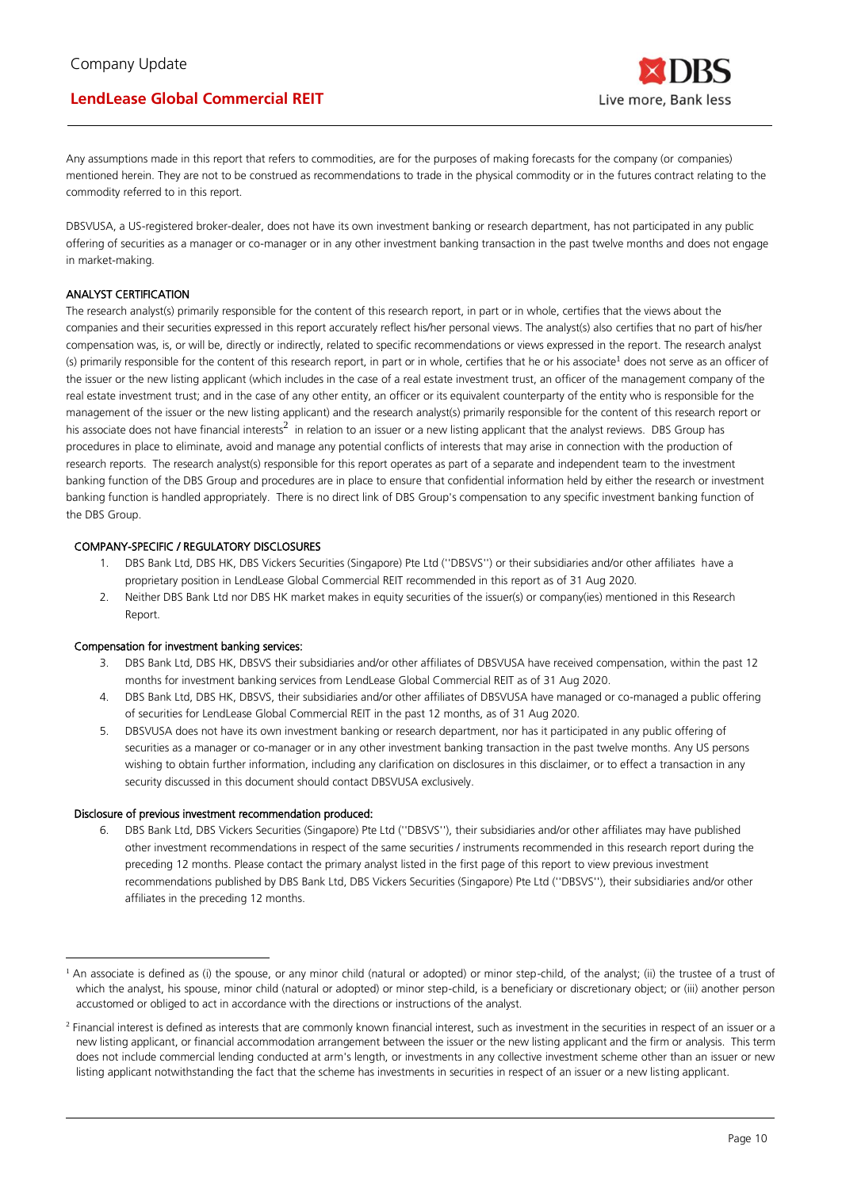Any assumptions made in this report that refers to commodities, are for the purposes of making forecasts for the company (or companies) mentioned herein. They are not to be construed as recommendations to trade in the physical commodity or in the futures contract relating to the commodity referred to in this report.

Live more, Bank less

DBSVUSA, a US-registered broker-dealer, does not have its own investment banking or research department, has not participated in any public offering of securities as a manager or co-manager or in any other investment banking transaction in the past twelve months and does not engage in market-making.

### ANALYST CERTIFICATION

The research analyst(s) primarily responsible for the content of this research report, in part or in whole, certifies that the views about the companies and their securities expressed in this report accurately reflect his/her personal views. The analyst(s) also certifies that no part of his/her compensation was, is, or will be, directly or indirectly, related to specific recommendations or views expressed in the report. The research analyst (s) primarily responsible for the content of this research report, in part or in whole, certifies that he or his associate<sup>1</sup> does not serve as an officer of the issuer or the new listing applicant (which includes in the case of a real estate investment trust, an officer of the management company of the real estate investment trust; and in the case of any other entity, an officer or its equivalent counterparty of the entity who is responsible for the management of the issuer or the new listing applicant) and the research analyst(s) primarily responsible for the content of this research report or his associate does not have financial interests<sup>2</sup> in relation to an issuer or a new listing applicant that the analyst reviews. DBS Group has procedures in place to eliminate, avoid and manage any potential conflicts of interests that may arise in connection with the production of research reports. The research analyst(s) responsible for this report operates as part of a separate and independent team to the investment banking function of the DBS Group and procedures are in place to ensure that confidential information held by either the research or investment banking function is handled appropriately. There is no direct link of DBS Group's compensation to any specific investment banking function of the DBS Group.

#### COMPANY-SPECIFIC / REGULATORY DISCLOSURES

- 1. DBS Bank Ltd, DBS HK, DBS Vickers Securities (Singapore) Pte Ltd (''DBSVS'') or their subsidiaries and/or other affiliates have a proprietary position in LendLease Global Commercial REIT recommended in this report as of 31 Aug 2020.
- 2. Neither DBS Bank Ltd nor DBS HK market makes in equity securities of the issuer(s) or company(ies) mentioned in this Research Report.

#### Compensation for investment banking services:

- 3. DBS Bank Ltd, DBS HK, DBSVS their subsidiaries and/or other affiliates of DBSVUSA have received compensation, within the past 12 months for investment banking services from LendLease Global Commercial REIT as of 31 Aug 2020.
- 4. DBS Bank Ltd, DBS HK, DBSVS, their subsidiaries and/or other affiliates of DBSVUSA have managed or co-managed a public offering of securities for LendLease Global Commercial REIT in the past 12 months, as of 31 Aug 2020.
- 5. DBSVUSA does not have its own investment banking or research department, nor has it participated in any public offering of securities as a manager or co-manager or in any other investment banking transaction in the past twelve months. Any US persons wishing to obtain further information, including any clarification on disclosures in this disclaimer, or to effect a transaction in any security discussed in this document should contact DBSVUSA exclusively.

#### Disclosure of previous investment recommendation produced:

6. DBS Bank Ltd, DBS Vickers Securities (Singapore) Pte Ltd (''DBSVS''), their subsidiaries and/or other affiliates may have published other investment recommendations in respect of the same securities / instruments recommended in this research report during the preceding 12 months. Please contact the primary analyst listed in the first page of this report to view previous investment recommendations published by DBS Bank Ltd, DBS Vickers Securities (Singapore) Pte Ltd (''DBSVS''), their subsidiaries and/or other affiliates in the preceding 12 months.

<sup>&</sup>lt;sup>1</sup> An associate is defined as (i) the spouse, or any minor child (natural or adopted) or minor step-child, of the analyst; (ii) the trustee of a trust of which the analyst, his spouse, minor child (natural or adopted) or minor step-child, is a beneficiary or discretionary object; or (iii) another person accustomed or obliged to act in accordance with the directions or instructions of the analyst.

<sup>&</sup>lt;sup>2</sup> Financial interest is defined as interests that are commonly known financial interest, such as investment in the securities in respect of an issuer or a new listing applicant, or financial accommodation arrangement between the issuer or the new listing applicant and the firm or analysis. This term does not include commercial lending conducted at arm's length, or investments in any collective investment scheme other than an issuer or new listing applicant notwithstanding the fact that the scheme has investments in securities in respect of an issuer or a new listing applicant.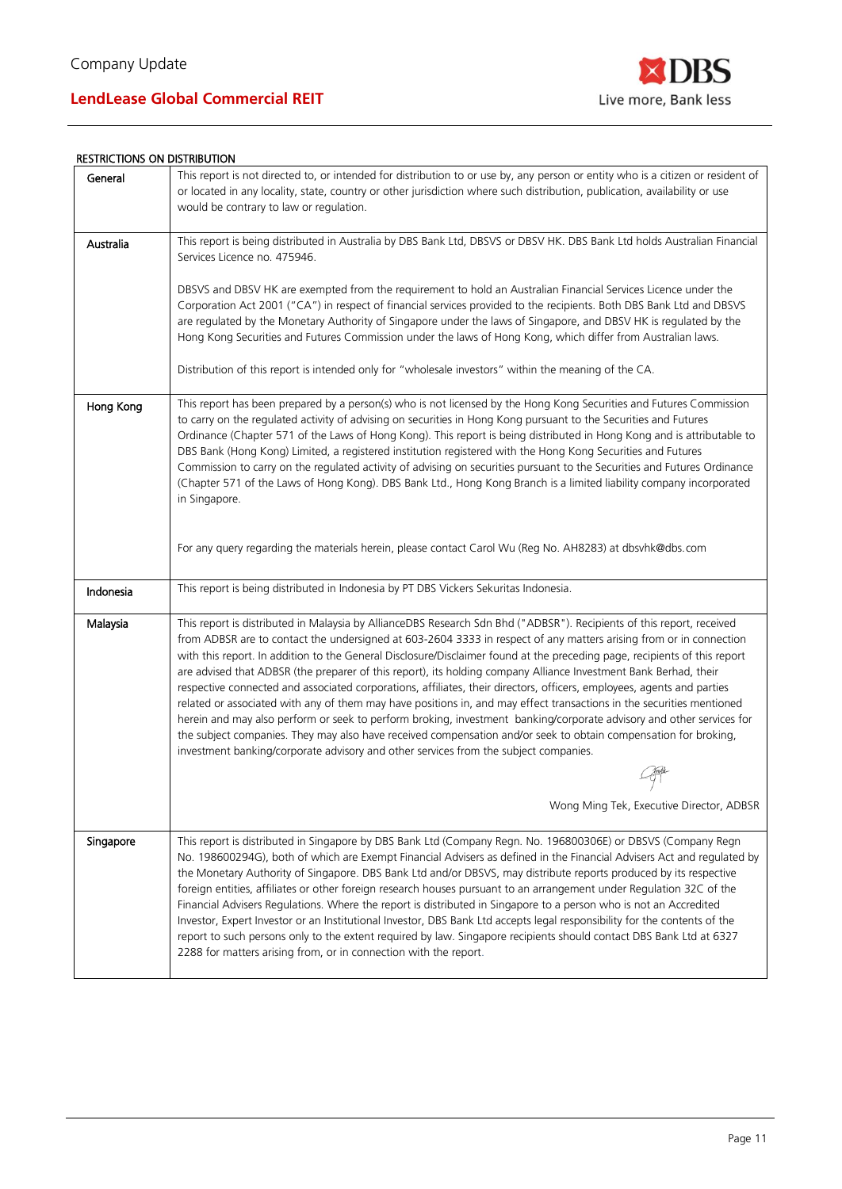

### RESTRICTIONS ON DISTRIBUTION

| יוטוו טשוווטוס טא כיוטווסוואר |                                                                                                                                                                                                                                                 |
|-------------------------------|-------------------------------------------------------------------------------------------------------------------------------------------------------------------------------------------------------------------------------------------------|
| General                       | This report is not directed to, or intended for distribution to or use by, any person or entity who is a citizen or resident of                                                                                                                 |
|                               | or located in any locality, state, country or other jurisdiction where such distribution, publication, availability or use                                                                                                                      |
|                               | would be contrary to law or regulation.                                                                                                                                                                                                         |
|                               |                                                                                                                                                                                                                                                 |
| Australia                     | This report is being distributed in Australia by DBS Bank Ltd, DBSVS or DBSV HK. DBS Bank Ltd holds Australian Financial                                                                                                                        |
|                               | Services Licence no. 475946.                                                                                                                                                                                                                    |
|                               |                                                                                                                                                                                                                                                 |
|                               | DBSVS and DBSV HK are exempted from the requirement to hold an Australian Financial Services Licence under the                                                                                                                                  |
|                               | Corporation Act 2001 ("CA") in respect of financial services provided to the recipients. Both DBS Bank Ltd and DBSVS                                                                                                                            |
|                               | are regulated by the Monetary Authority of Singapore under the laws of Singapore, and DBSV HK is regulated by the                                                                                                                               |
|                               | Hong Kong Securities and Futures Commission under the laws of Hong Kong, which differ from Australian laws.                                                                                                                                     |
|                               |                                                                                                                                                                                                                                                 |
|                               | Distribution of this report is intended only for "wholesale investors" within the meaning of the CA.                                                                                                                                            |
|                               |                                                                                                                                                                                                                                                 |
| Hong Kong                     | This report has been prepared by a person(s) who is not licensed by the Hong Kong Securities and Futures Commission                                                                                                                             |
|                               | to carry on the regulated activity of advising on securities in Hong Kong pursuant to the Securities and Futures                                                                                                                                |
|                               | Ordinance (Chapter 571 of the Laws of Hong Kong). This report is being distributed in Hong Kong and is attributable to                                                                                                                          |
|                               | DBS Bank (Hong Kong) Limited, a registered institution registered with the Hong Kong Securities and Futures<br>Commission to carry on the regulated activity of advising on securities pursuant to the Securities and Futures Ordinance         |
|                               | (Chapter 571 of the Laws of Hong Kong). DBS Bank Ltd., Hong Kong Branch is a limited liability company incorporated                                                                                                                             |
|                               | in Singapore.                                                                                                                                                                                                                                   |
|                               |                                                                                                                                                                                                                                                 |
|                               |                                                                                                                                                                                                                                                 |
|                               | For any query regarding the materials herein, please contact Carol Wu (Reg No. AH8283) at dbsvhk@dbs.com                                                                                                                                        |
|                               |                                                                                                                                                                                                                                                 |
|                               |                                                                                                                                                                                                                                                 |
| Indonesia                     | This report is being distributed in Indonesia by PT DBS Vickers Sekuritas Indonesia.                                                                                                                                                            |
|                               |                                                                                                                                                                                                                                                 |
| Malaysia                      | This report is distributed in Malaysia by AllianceDBS Research Sdn Bhd ("ADBSR"). Recipients of this report, received                                                                                                                           |
|                               | from ADBSR are to contact the undersigned at 603-2604 3333 in respect of any matters arising from or in connection<br>with this report. In addition to the General Disclosure/Disclaimer found at the preceding page, recipients of this report |
|                               | are advised that ADBSR (the preparer of this report), its holding company Alliance Investment Bank Berhad, their                                                                                                                                |
|                               | respective connected and associated corporations, affiliates, their directors, officers, employees, agents and parties                                                                                                                          |
|                               | related or associated with any of them may have positions in, and may effect transactions in the securities mentioned                                                                                                                           |
|                               | herein and may also perform or seek to perform broking, investment banking/corporate advisory and other services for                                                                                                                            |
|                               | the subject companies. They may also have received compensation and/or seek to obtain compensation for broking,                                                                                                                                 |
|                               | investment banking/corporate advisory and other services from the subject companies.                                                                                                                                                            |
|                               |                                                                                                                                                                                                                                                 |
|                               |                                                                                                                                                                                                                                                 |
|                               | Wong Ming Tek, Executive Director, ADBSR                                                                                                                                                                                                        |
|                               |                                                                                                                                                                                                                                                 |
| Singapore                     | This report is distributed in Singapore by DBS Bank Ltd (Company Regn. No. 196800306E) or DBSVS (Company Regn                                                                                                                                   |
|                               | No. 198600294G), both of which are Exempt Financial Advisers as defined in the Financial Advisers Act and regulated by                                                                                                                          |
|                               | the Monetary Authority of Singapore. DBS Bank Ltd and/or DBSVS, may distribute reports produced by its respective                                                                                                                               |
|                               | foreign entities, affiliates or other foreign research houses pursuant to an arrangement under Regulation 32C of the                                                                                                                            |
|                               | Financial Advisers Regulations. Where the report is distributed in Singapore to a person who is not an Accredited                                                                                                                               |
|                               | Investor, Expert Investor or an Institutional Investor, DBS Bank Ltd accepts legal responsibility for the contents of the                                                                                                                       |
|                               | report to such persons only to the extent required by law. Singapore recipients should contact DBS Bank Ltd at 6327                                                                                                                             |
|                               | 2288 for matters arising from, or in connection with the report.                                                                                                                                                                                |
|                               |                                                                                                                                                                                                                                                 |
|                               |                                                                                                                                                                                                                                                 |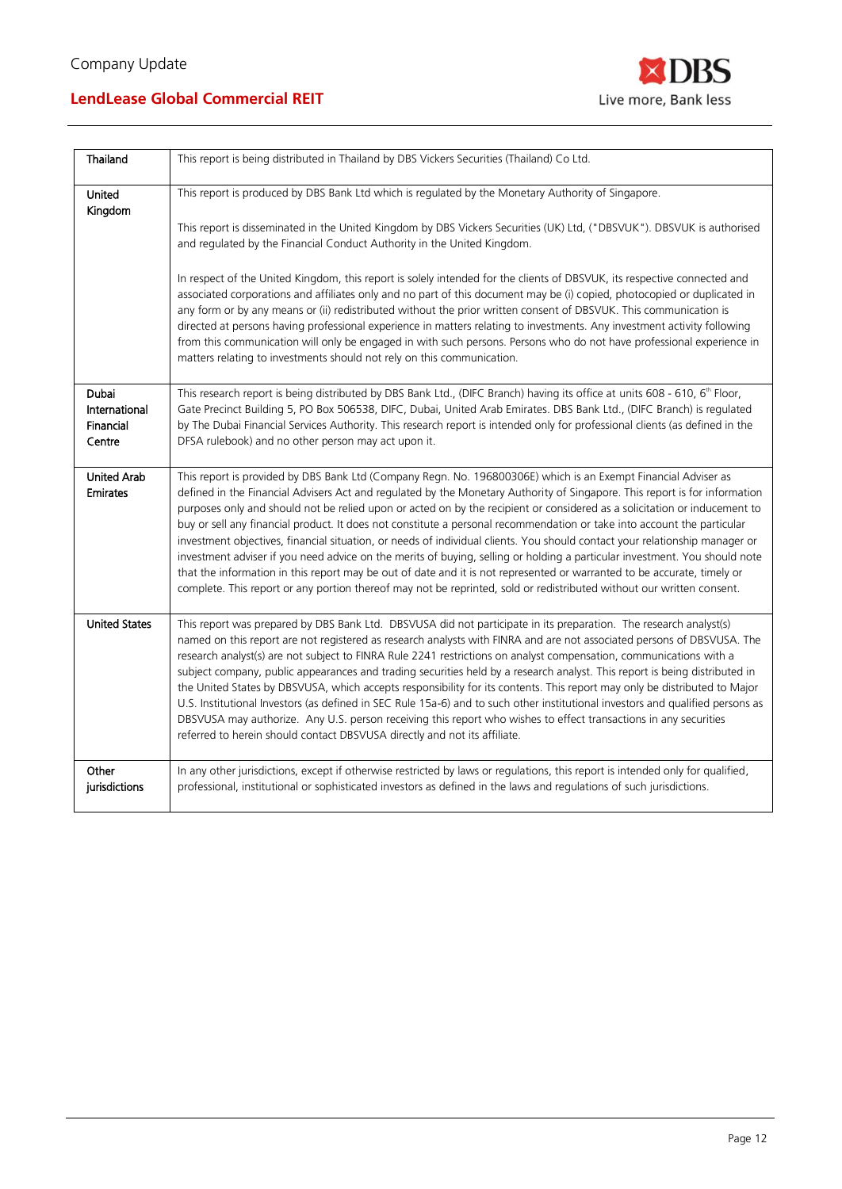

| Thailand                                      | This report is being distributed in Thailand by DBS Vickers Securities (Thailand) Co Ltd.                                                                                                                                                                                                                                                                                                                                                                                                                                                                                                                                                                                                                                                                                                                                                                                                                                                                                                                             |
|-----------------------------------------------|-----------------------------------------------------------------------------------------------------------------------------------------------------------------------------------------------------------------------------------------------------------------------------------------------------------------------------------------------------------------------------------------------------------------------------------------------------------------------------------------------------------------------------------------------------------------------------------------------------------------------------------------------------------------------------------------------------------------------------------------------------------------------------------------------------------------------------------------------------------------------------------------------------------------------------------------------------------------------------------------------------------------------|
| United<br>Kingdom                             | This report is produced by DBS Bank Ltd which is regulated by the Monetary Authority of Singapore.                                                                                                                                                                                                                                                                                                                                                                                                                                                                                                                                                                                                                                                                                                                                                                                                                                                                                                                    |
|                                               | This report is disseminated in the United Kingdom by DBS Vickers Securities (UK) Ltd, ("DBSVUK"). DBSVUK is authorised<br>and regulated by the Financial Conduct Authority in the United Kingdom.                                                                                                                                                                                                                                                                                                                                                                                                                                                                                                                                                                                                                                                                                                                                                                                                                     |
|                                               | In respect of the United Kingdom, this report is solely intended for the clients of DBSVUK, its respective connected and<br>associated corporations and affiliates only and no part of this document may be (i) copied, photocopied or duplicated in<br>any form or by any means or (ii) redistributed without the prior written consent of DBSVUK. This communication is<br>directed at persons having professional experience in matters relating to investments. Any investment activity following<br>from this communication will only be engaged in with such persons. Persons who do not have professional experience in<br>matters relating to investments should not rely on this communication.                                                                                                                                                                                                                                                                                                              |
| Dubai<br>International<br>Financial<br>Centre | This research report is being distributed by DBS Bank Ltd., (DIFC Branch) having its office at units 608 - 610, 6 <sup>th</sup> Floor,<br>Gate Precinct Building 5, PO Box 506538, DIFC, Dubai, United Arab Emirates. DBS Bank Ltd., (DIFC Branch) is regulated<br>by The Dubai Financial Services Authority. This research report is intended only for professional clients (as defined in the<br>DFSA rulebook) and no other person may act upon it.                                                                                                                                                                                                                                                                                                                                                                                                                                                                                                                                                                |
| <b>United Arab</b><br><b>Emirates</b>         | This report is provided by DBS Bank Ltd (Company Regn. No. 196800306E) which is an Exempt Financial Adviser as<br>defined in the Financial Advisers Act and regulated by the Monetary Authority of Singapore. This report is for information<br>purposes only and should not be relied upon or acted on by the recipient or considered as a solicitation or inducement to<br>buy or sell any financial product. It does not constitute a personal recommendation or take into account the particular<br>investment objectives, financial situation, or needs of individual clients. You should contact your relationship manager or<br>investment adviser if you need advice on the merits of buying, selling or holding a particular investment. You should note<br>that the information in this report may be out of date and it is not represented or warranted to be accurate, timely or<br>complete. This report or any portion thereof may not be reprinted, sold or redistributed without our written consent. |
| <b>United States</b>                          | This report was prepared by DBS Bank Ltd. DBSVUSA did not participate in its preparation. The research analyst(s)<br>named on this report are not registered as research analysts with FINRA and are not associated persons of DBSVUSA. The<br>research analyst(s) are not subject to FINRA Rule 2241 restrictions on analyst compensation, communications with a<br>subject company, public appearances and trading securities held by a research analyst. This report is being distributed in<br>the United States by DBSVUSA, which accepts responsibility for its contents. This report may only be distributed to Major<br>U.S. Institutional Investors (as defined in SEC Rule 15a-6) and to such other institutional investors and qualified persons as<br>DBSVUSA may authorize. Any U.S. person receiving this report who wishes to effect transactions in any securities<br>referred to herein should contact DBSVUSA directly and not its affiliate.                                                       |
| Other<br>jurisdictions                        | In any other jurisdictions, except if otherwise restricted by laws or regulations, this report is intended only for qualified,<br>professional, institutional or sophisticated investors as defined in the laws and regulations of such jurisdictions.                                                                                                                                                                                                                                                                                                                                                                                                                                                                                                                                                                                                                                                                                                                                                                |